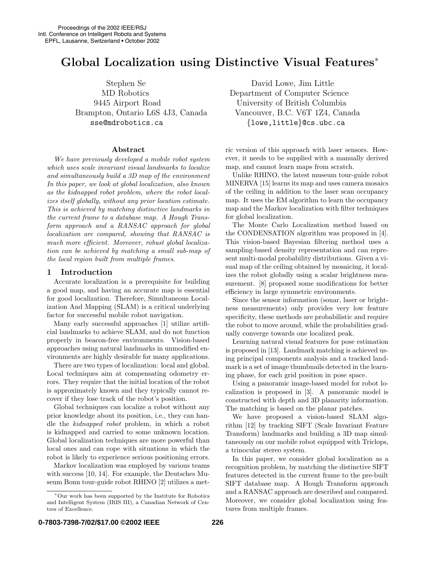# Global Localization using Distinctive Visual Features<sup>∗</sup>

Brampton, Ontario L6S 4J3, Canada Vancouver, B.C. V6T 1Z4, Canada sse@mdrobotics.ca  ${ \{ \text{low} , \text{little} \} }$ @cs.ubc.ca

### Abstract

We have previously developed a mobile robot system which uses scale invariant visual landmarks to localize and simultaneously build a 3D map of the environment In this paper, we look at global localization, also known as the kidnapped robot problem, where the robot localizes itself globally, without any prior location estimate. This is achieved by matching distinctive landmarks in the current frame to a database map. A Hough Transform approach and a RANSAC approach for global localization are compared, showing that RANSAC is much more efficient. Moreover, robust global localization can be achieved by matching a small sub-map of the local region built from multiple frames.

# 1 Introduction

Accurate localization is a prerequisite for building a good map, and having an accurate map is essential for good localization. Therefore, Simultaneous Localization And Mapping (SLAM) is a critical underlying factor for successful mobile robot navigation.

Many early successful approaches [1] utilize artificial landmarks to achieve SLAM, and do not function properly in beacon-free environments. Vision-based approaches using natural landmarks in unmodified environments are highly desirable for many applications.

There are two types of localization: local and global. Local techniques aim at compensating odometry errors. They require that the initial location of the robot is approximately known and they typically cannot recover if they lose track of the robot's position.

Global techniques can localize a robot without any prior knowledge about its position, i.e., they can handle the kidnapped robot problem, in which a robot is kidnapped and carried to some unknown location. Global localization techniques are more powerful than local ones and can cope with situations in which the robot is likely to experience serious positioning errors.

Markov localization was employed by various teams with success [10, 14]. For example, the Deutsches Museum Bonn tour-guide robot RHINO [2] utilizes a met-

Stephen Se David Lowe, Jim Little MD Robotics Department of Computer Science 9445 Airport Road University of British Columbia

> ric version of this approach with laser sensors. However, it needs to be supplied with a manually derived map, and cannot learn maps from scratch.

> Unlike RHINO, the latest museum tour-guide robot MINERVA [15] learns its map and uses camera mosaics of the ceiling in addition to the laser scan occupancy map. It uses the EM algorithm to learn the occupancy map and the Markov localization with filter techniques for global localization.

> The Monte Carlo Localization method based on the CONDENSATION algorithm was proposed in [4]. This vision-based Bayesian filtering method uses a sampling-based density representation and can represent multi-modal probability distributions. Given a visual map of the ceiling obtained by mosaicing, it localizes the robot globally using a scalar brightness measurement. [8] proposed some modifications for better efficiency in large symmetric environments.

> Since the sensor information (sonar, laser or brightness measurements) only provides very low feature specificity, these methods are probabilistic and require the robot to move around, while the probabilities gradually converge towards one localized peak.

> Learning natural visual features for pose estimation is proposed in [13]. Landmark matching is achieved using principal components analysis and a tracked landmark is a set of image thumbnails detected in the learning phase, for each grid position in pose space.

> Using a panoramic image-based model for robot localization is proposed in [3]. A panoramic model is constructed with depth and 3D planarity information. The matching is based on the planar patches.

> We have proposed a vision-based SLAM algorithm [12] by tracking SIFT (Scale Invariant Feature Transform) landmarks and building a 3D map simultaneously on our mobile robot equipped with Triclops, a trinocular stereo system.

> In this paper, we consider global localization as a recognition problem, by matching the distinctive SIFT features detected in the current frame to the pre-built SIFT database map. A Hough Transform approach and a RANSAC approach are described and compared. Moreover, we consider global localization using features from multiple frames.

<sup>∗</sup>Our work has been supported by the Institute for Robotics and Intelligent System (IRIS III), a Canadian Network of Centres of Excellence.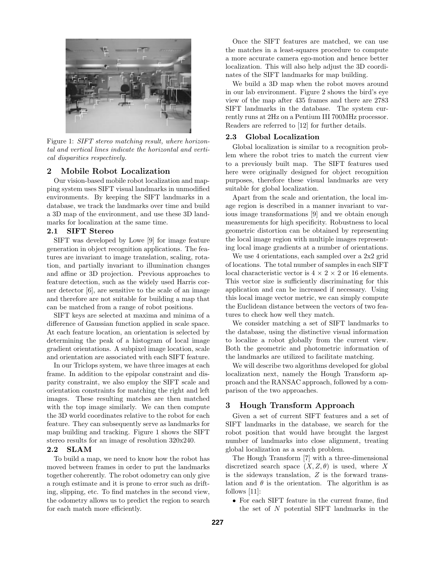

Figure 1: SIFT stereo matching result, where horizontal and vertical lines indicate the horizontal and vertical disparities respectively.

# 2 Mobile Robot Localization

Our vision-based mobile robot localization and mapping system uses SIFT visual landmarks in unmodified environments. By keeping the SIFT landmarks in a database, we track the landmarks over time and build a 3D map of the environment, and use these 3D landmarks for localization at the same time.

#### 2.1 SIFT Stereo

SIFT was developed by Lowe [9] for image feature generation in object recognition applications. The features are invariant to image translation, scaling, rotation, and partially invariant to illumination changes and affine or 3D projection. Previous approaches to feature detection, such as the widely used Harris corner detector [6], are sensitive to the scale of an image and therefore are not suitable for building a map that can be matched from a range of robot positions.

SIFT keys are selected at maxima and minima of a difference of Gaussian function applied in scale space. At each feature location, an orientation is selected by determining the peak of a histogram of local image gradient orientations. A subpixel image location, scale and orientation are associated with each SIFT feature.

In our Triclops system, we have three images at each frame. In addition to the epipolar constraint and disparity constraint, we also employ the SIFT scale and orientation constraints for matching the right and left images. These resulting matches are then matched with the top image similarly. We can then compute the 3D world coordinates relative to the robot for each feature. They can subsequently serve as landmarks for map building and tracking. Figure 1 shows the SIFT stereo results for an image of resolution 320x240.

#### 2.2 SLAM

To build a map, we need to know how the robot has moved between frames in order to put the landmarks together coherently. The robot odometry can only give a rough estimate and it is prone to error such as drifting, slipping, etc. To find matches in the second view, the odometry allows us to predict the region to search for each match more efficiently.

Once the SIFT features are matched, we can use the matches in a least-squares procedure to compute a more accurate camera ego-motion and hence better localization. This will also help adjust the 3D coordinates of the SIFT landmarks for map building.

We build a 3D map when the robot moves around in our lab environment. Figure 2 shows the bird's eye view of the map after 435 frames and there are 2783 SIFT landmarks in the database. The system currently runs at 2Hz on a Pentium III 700MHz processor. Readers are referred to [12] for further details.

# 2.3 Global Localization

Global localization is similar to a recognition problem where the robot tries to match the current view to a previously built map. The SIFT features used here were originally designed for object recognition purposes, therefore these visual landmarks are very suitable for global localization.

Apart from the scale and orientation, the local image region is described in a manner invariant to various image transformations [9] and we obtain enough measurements for high specificity. Robustness to local geometric distortion can be obtained by representing the local image region with multiple images representing local image gradients at a number of orientations.

We use 4 orientations, each sampled over a 2x2 grid of locations. The total number of samples in each SIFT local characteristic vector is  $4 \times 2 \times 2$  or 16 elements. This vector size is sufficiently discriminating for this application and can be increased if necessary. Using this local image vector metric, we can simply compute the Euclidean distance between the vectors of two features to check how well they match.

We consider matching a set of SIFT landmarks to the database, using the distinctive visual information to localize a robot globally from the current view. Both the geometric and photometric information of the landmarks are utilized to facilitate matching.

We will describe two algorithms developed for global localization next, namely the Hough Transform approach and the RANSAC approach, followed by a comparison of the two approaches.

# 3 Hough Transform Approach

Given a set of current SIFT features and a set of SIFT landmarks in the database, we search for the robot position that would have brought the largest number of landmarks into close alignment, treating global localization as a search problem.

The Hough Transform [7] with a three-dimensional discretized search space  $(X, Z, \theta)$  is used, where X is the sideways translation, Z is the forward translation and  $\theta$  is the orientation. The algorithm is as follows [11]:

• For each SIFT feature in the current frame, find the set of N potential SIFT landmarks in the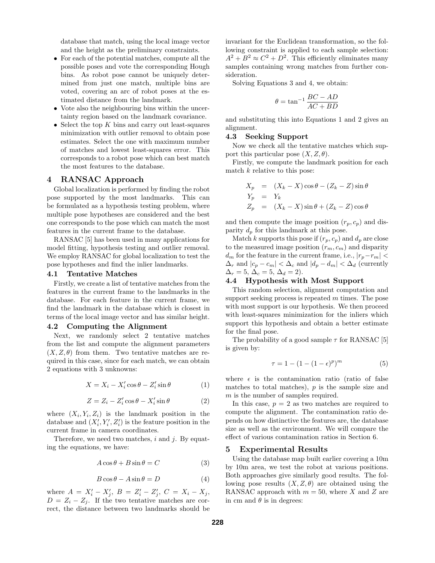database that match, using the local image vector and the height as the preliminary constraints.

- For each of the potential matches, compute all the possible poses and vote the corresponding Hough bins. As robot pose cannot be uniquely determined from just one match, multiple bins are voted, covering an arc of robot poses at the estimated distance from the landmark.
- Vote also the neighbouring bins within the uncertainty region based on the landmark covariance.
- Select the top  $K$  bins and carry out least-squares minimization with outlier removal to obtain pose estimates. Select the one with maximum number of matches and lowest least-squares error. This corresponds to a robot pose which can best match the most features to the database.

# 4 RANSAC Approach

Global localization is performed by finding the robot pose supported by the most landmarks. This can be formulated as a hypothesis testing problem, where multiple pose hypotheses are considered and the best one corresponds to the pose which can match the most features in the current frame to the database.

RANSAC [5] has been used in many applications for model fitting, hypothesis testing and outlier removal. We employ RANSAC for global localization to test the pose hypotheses and find the inlier landmarks.

#### 4.1 Tentative Matches

Firstly, we create a list of tentative matches from the features in the current frame to the landmarks in the database. For each feature in the current frame, we find the landmark in the database which is closest in terms of the local image vector and has similar height.

#### 4.2 Computing the Alignment

Next, we randomly select 2 tentative matches from the list and compute the alignment parameters  $(X, Z, \theta)$  from them. Two tentative matches are required in this case, since for each match, we can obtain 2 equations with 3 unknowns:

$$
X = X_i - X'_i \cos \theta - Z'_i \sin \theta \tag{1}
$$

$$
Z = Z_i - Z'_i \cos \theta - X'_i \sin \theta \tag{2}
$$

where  $(X_i, Y_i, Z_i)$  is the landmark position in the database and  $(X'_i, Y'_i, Z'_i)$  is the feature position in the current frame in camera coordinates.

Therefore, we need two matches,  $i$  and  $j$ . By equating the equations, we have:

$$
A\cos\theta + B\sin\theta = C \tag{3}
$$

$$
B\cos\theta - A\sin\theta = D \tag{4}
$$

where  $A = X'_i - X'_j, B = Z'_i - Z'_j, C = X_i - X_j,$  $D = Z_i - Z_j$ . If the two tentative matches are correct, the distance between two landmarks should be

invariant for the Euclidean transformation, so the following constraint is applied to each sample selection:  $A^2 + B^2 \approx C^2 + D^2$ . This efficiently eliminates many samples containing wrong matches from further consideration.

Solving Equations 3 and 4, we obtain:

$$
\theta = \tan^{-1} \frac{BC - AD}{AC + BD}
$$

and substituting this into Equations 1 and 2 gives an alignment.

#### 4.3 Seeking Support

Now we check all the tentative matches which support this particular pose  $(X, Z, \theta)$ .

Firstly, we compute the landmark position for each match  $k$  relative to this pose:

$$
X_p = (X_k - X)\cos\theta - (Z_k - Z)\sin\theta
$$
  
\n
$$
Y_p = Y_k
$$
  
\n
$$
Z_p = (X_k - X)\sin\theta + (Z_k - Z)\cos\theta
$$

and then compute the image position  $(r_p, c_p)$  and disparity  $d_p$  for this landmark at this pose.

Match k supports this pose if  $(r_p, c_p)$  and  $d_p$  are close to the measured image position  $(r_m, c_m)$  and disparity  $d_m$  for the feature in the current frame, i.e.,  $|r_p-r_m|$  <  $\Delta_r$  and  $|c_p - c_m| < \Delta_c$  and  $|d_p - d_m| < \Delta_d$  (currently  $\Delta_r = 5, \Delta_c = 5, \Delta_d = 2$ .

#### 4.4 Hypothesis with Most Support

This random selection, alignment computation and support seeking process is repeated  $m$  times. The pose with most support is our hypothesis. We then proceed with least-squares minimization for the inliers which support this hypothesis and obtain a better estimate for the final pose.

The probability of a good sample  $\tau$  for RANSAC [5] is given by:

$$
\tau = 1 - (1 - (1 - \epsilon)^p)^m \tag{5}
$$

where  $\epsilon$  is the contamination ratio (ratio of false matches to total matches),  $p$  is the sample size and m is the number of samples required.

In this case,  $p = 2$  as two matches are required to compute the alignment. The contamination ratio depends on how distinctive the features are, the database size as well as the environment. We will compare the effect of various contamination ratios in Section 6.

#### 5 Experimental Results

Using the database map built earlier covering a 10m by 10m area, we test the robot at various positions. Both approaches give similarly good results. The following pose results  $(X, Z, \theta)$  are obtained using the RANSAC approach with  $m = 50$ , where X and Z are in cm and  $\theta$  is in degrees: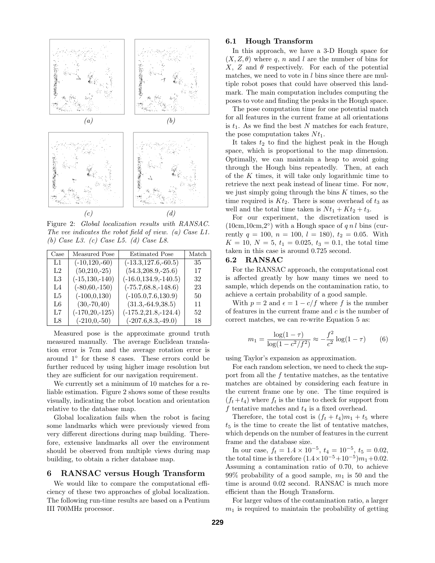

Figure 2: Global localization results with RANSAC. The vee indicates the robot field of view. (a) Case L1. (b) Case L3. (c) Case L5. (d) Case L8.

| Case  | Measured Pose      | <b>Estimated Pose</b>    | Match |
|-------|--------------------|--------------------------|-------|
| L1    | $(-10, 120, -60)$  | $(-13.3, 127.6, -60.5)$  | 35    |
| L2    | $(50, 210, -25)$   | $(54.3, 208.9, -25.6)$   | 17    |
| L3    | $(-15, 130, -140)$ | $(-16.0, 134.9, -140.5)$ | 32    |
| $L_4$ | $(-80,60,-150)$    | $(-75.7, 68.8, -148.6)$  | 23    |
| L5    | $(-100, 0, 130)$   | $(-105.0, 7.6, 130.9)$   | 50    |
| L6    | $(30,-70,40)$      | $(31.3,-64.9,38.5)$      | 11    |
| L7    | $(-170, 20, -125)$ | $(-175.2, 21.8, -124.4)$ | 52    |
| L8    | $(-210,0,-50)$     | $(-207.6, 8.3, -49.0)$   | 18    |

Measured pose is the approximate ground truth measured manually. The average Euclidean translation error is 7cm and the average rotation error is around 1◦ for these 8 cases. These errors could be further reduced by using higher image resolution but they are sufficient for our navigation requirement.

We currently set a minimum of 10 matches for a reliable estimation. Figure 2 shows some of these results visually, indicating the robot location and orientation relative to the database map.

Global localization fails when the robot is facing some landmarks which were previously viewed from very different directions during map building. Therefore, extensive landmarks all over the environment should be observed from multiple views during map building, to obtain a richer database map.

# 6 RANSAC versus Hough Transform

We would like to compare the computational efficiency of these two approaches of global localization. The following run-time results are based on a Pentium III 700MHz processor.

#### 6.1 Hough Transform

In this approach, we have a 3-D Hough space for  $(X, Z, \theta)$  where q, n and l are the number of bins for X, Z and  $\theta$  respectively. For each of the potential matches, we need to vote in l bins since there are multiple robot poses that could have observed this landmark. The main computation includes computing the poses to vote and finding the peaks in the Hough space.

The pose computation time for one potential match for all features in the current frame at all orientations is  $t_1$ . As we find the best N matches for each feature, the pose computation takes  $N t_1$ .

It takes  $t_2$  to find the highest peak in the Hough space, which is proportional to the map dimension. Optimally, we can maintain a heap to avoid going through the Hough bins repeatedly. Then, at each of the  $K$  times, it will take only logarithmic time to retrieve the next peak instead of linear time. For now, we just simply going through the bins  $K$  times, so the time required is  $Kt_2$ . There is some overhead of  $t_3$  as well and the total time taken is  $Nt_1 + Kt_2 + t_3$ .

For our experiment, the discretization used is  $(10cm, 10cm, 2°)$  with a Hough space of q n l bins (currently  $q = 100$ ,  $n = 100$ ,  $l = 180$ ),  $t_2 = 0.05$ . With  $K = 10, N = 5, t_1 = 0.025, t_3 = 0.1$ , the total time taken in this case is around 0.725 second.

#### 6.2 RANSAC

For the RANSAC approach, the computational cost is affected greatly by how many times we need to sample, which depends on the contamination ratio, to achieve a certain probability of a good sample.

With  $p = 2$  and  $\epsilon = 1 - c/f$  where f is the number of features in the current frame and  $c$  is the number of correct matches, we can re-write Equation 5 as:

$$
m_1 = \frac{\log(1-\tau)}{\log(1-c^2/f^2)} \approx -\frac{f^2}{c^2}\log(1-\tau) \qquad (6)
$$

using Taylor's expansion as approximation.

For each random selection, we need to check the support from all the f tentative matches, as the tentative matches are obtained by considering each feature in the current frame one by one. The time required is  $(f_t + t_4)$  where  $f_t$  is the time to check for support from  $f$  tentative matches and  $t_4$  is a fixed overhead.

Therefore, the total cost is  $(f_t + t_4)m_1 + t_5$  where  $t<sub>5</sub>$  is the time to create the list of tentative matches, which depends on the number of features in the current frame and the database size.

In our case,  $f_t = 1.4 \times 10^{-5}$ ,  $t_4 = 10^{-5}$ ,  $t_5 = 0.02$ , the total time is therefore  $(1.4 \times 10^{-5} + 10^{-5})m_1 + 0.02$ . Assuming a contamination ratio of 0.70, to achieve 99% probability of a good sample,  $m_1$  is 50 and the time is around 0.02 second. RANSAC is much more efficient than the Hough Transform.

For larger values of the contamination ratio, a larger  $m_1$  is required to maintain the probability of getting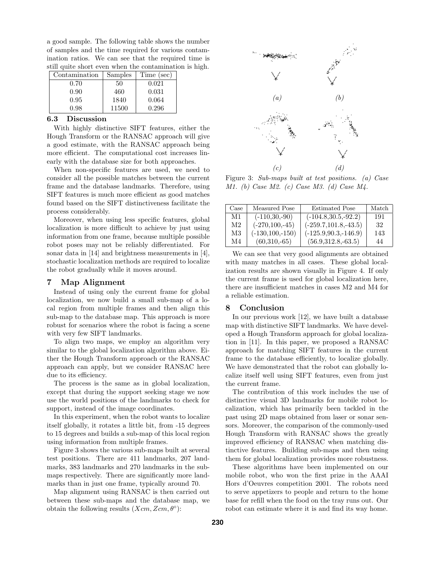a good sample. The following table shows the number of samples and the time required for various contamination ratios. We can see that the required time is still quite short even when the contamination is high.

| Contamination | Samples | Time (sec) |
|---------------|---------|------------|
| 0.70          | 50      | 0.021      |
| 0.90          | 460     | 0.031      |
| 0.95          | 1840    | 0.064      |
| 0.98          | 11500   | 0.296      |

#### 6.3 Discussion

With highly distinctive SIFT features, either the Hough Transform or the RANSAC approach will give a good estimate, with the RANSAC approach being more efficient. The computational cost increases linearly with the database size for both approaches.

When non-specific features are used, we need to consider all the possible matches between the current frame and the database landmarks. Therefore, using SIFT features is much more efficient as good matches found based on the SIFT distinctiveness facilitate the process considerably.

Moreover, when using less specific features, global localization is more difficult to achieve by just using information from one frame, because multiple possible robot poses may not be reliably differentiated. For sonar data in [14] and brightness measurements in [4], stochastic localization methods are required to localize the robot gradually while it moves around.

### 7 Map Alignment

Instead of using only the current frame for global localization, we now build a small sub-map of a local region from multiple frames and then align this sub-map to the database map. This approach is more robust for scenarios where the robot is facing a scene with very few SIFT landmarks.

To align two maps, we employ an algorithm very similar to the global localization algorithm above. Either the Hough Transform approach or the RANSAC approach can apply, but we consider RANSAC here due to its efficiency.

The process is the same as in global localization, except that during the support seeking stage we now use the world positions of the landmarks to check for support, instead of the image coordinates.

In this experiment, when the robot wants to localize itself globally, it rotates a little bit, from -15 degrees to 15 degrees and builds a sub-map of this local region using information from multiple frames.

Figure 3 shows the various sub-maps built at several test positions. There are 411 landmarks, 207 landmarks, 383 landmarks and 270 landmarks in the submaps respectively. There are significantly more landmarks than in just one frame, typically around 70.

Map alignment using RANSAC is then carried out between these sub-maps and the database map, we obtain the following results  $(Xcm, Zcm, \theta^{\circ})$ :



Figure 3: Sub-maps built at test positions. (a) Case M1. (b) Case M2. (c) Case M3. (d) Case M4.

| Case | Measured Pose       | <b>Estimated Pose</b>    | Match |
|------|---------------------|--------------------------|-------|
| M1   | $(-110,30,-90)$     | $(-104.8, 30.5, -92.2)$  | 191   |
| M2   | $(-270, 100, -45)$  | $(-259.7, 101.8, -43.5)$ | 32    |
| M3   | $(-130, 100, -150)$ | $(-125.9, 90.3, -146.9)$ | 143   |
| M4   | $(60,310,-65)$      | $(56.9, 312.8, -63.5)$   | 44    |

We can see that very good alignments are obtained with many matches in all cases. These global localization results are shown visually in Figure 4. If only the current frame is used for global localization here, there are insufficient matches in cases M2 and M4 for a reliable estimation.

#### 8 Conclusion

In our previous work [12], we have built a database map with distinctive SIFT landmarks. We have developed a Hough Transform approach for global localization in [11]. In this paper, we proposed a RANSAC approach for matching SIFT features in the current frame to the database efficiently, to localize globally. We have demonstrated that the robot can globally localize itself well using SIFT features, even from just the current frame.

The contribution of this work includes the use of distinctive visual 3D landmarks for mobile robot localization, which has primarily been tackled in the past using 2D maps obtained from laser or sonar sensors. Moreover, the comparison of the commonly-used Hough Transform with RANSAC shows the greatly improved efficiency of RANSAC when matching distinctive features. Building sub-maps and then using them for global localization provides more robustness.

These algorithms have been implemented on our mobile robot, who won the first prize in the AAAI Hors d'Oeuvres competition 2001. The robots need to serve appetizers to people and return to the home base for refill when the food on the tray runs out. Our robot can estimate where it is and find its way home.